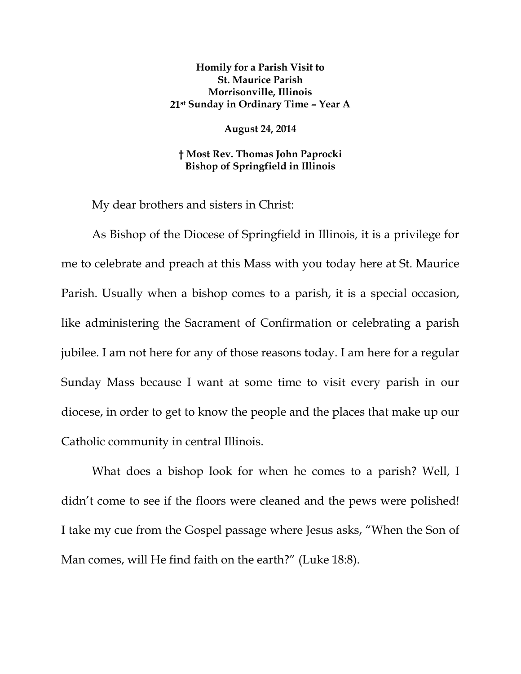## **Homily for a Parish Visit to St. Maurice Parish Morrisonville, Illinois 21st Sunday in Ordinary Time – Year A**

**August 24, 2014** 

**† Most Rev. Thomas John Paprocki Bishop of Springfield in Illinois** 

My dear brothers and sisters in Christ:

As Bishop of the Diocese of Springfield in Illinois, it is a privilege for me to celebrate and preach at this Mass with you today here at St. Maurice Parish. Usually when a bishop comes to a parish, it is a special occasion, like administering the Sacrament of Confirmation or celebrating a parish jubilee. I am not here for any of those reasons today. I am here for a regular Sunday Mass because I want at some time to visit every parish in our diocese, in order to get to know the people and the places that make up our Catholic community in central Illinois.

What does a bishop look for when he comes to a parish? Well, I didn't come to see if the floors were cleaned and the pews were polished! I take my cue from the Gospel passage where Jesus asks, "When the Son of Man comes, will He find faith on the earth?" (Luke 18:8).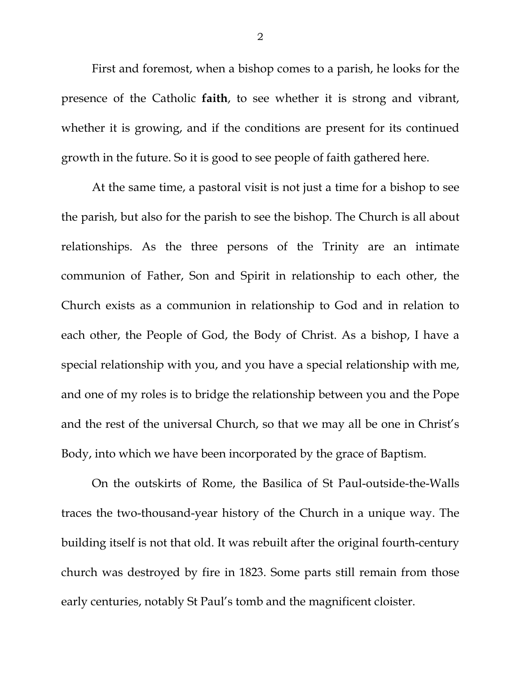First and foremost, when a bishop comes to a parish, he looks for the presence of the Catholic **faith**, to see whether it is strong and vibrant, whether it is growing, and if the conditions are present for its continued growth in the future. So it is good to see people of faith gathered here.

At the same time, a pastoral visit is not just a time for a bishop to see the parish, but also for the parish to see the bishop. The Church is all about relationships. As the three persons of the Trinity are an intimate communion of Father, Son and Spirit in relationship to each other, the Church exists as a communion in relationship to God and in relation to each other, the People of God, the Body of Christ. As a bishop, I have a special relationship with you, and you have a special relationship with me, and one of my roles is to bridge the relationship between you and the Pope and the rest of the universal Church, so that we may all be one in Christ's Body, into which we have been incorporated by the grace of Baptism.

On the outskirts of Rome, the Basilica of St Paul-outside-the-Walls traces the two-thousand-year history of the Church in a unique way. The building itself is not that old. It was rebuilt after the original fourth-century church was destroyed by fire in 1823. Some parts still remain from those early centuries, notably St Paul's tomb and the magnificent cloister.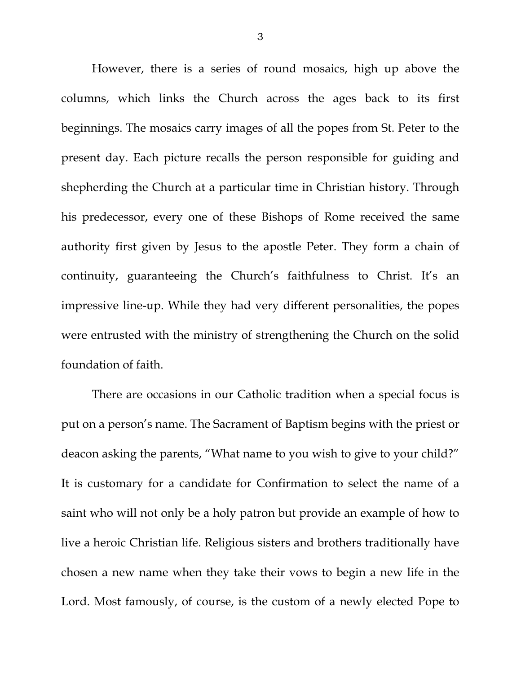However, there is a series of round mosaics, high up above the columns, which links the Church across the ages back to its first beginnings. The mosaics carry images of all the popes from St. Peter to the present day. Each picture recalls the person responsible for guiding and shepherding the Church at a particular time in Christian history. Through his predecessor, every one of these Bishops of Rome received the same authority first given by Jesus to the apostle Peter. They form a chain of continuity, guaranteeing the Church's faithfulness to Christ. It's an impressive line-up. While they had very different personalities, the popes were entrusted with the ministry of strengthening the Church on the solid foundation of faith.

There are occasions in our Catholic tradition when a special focus is put on a person's name. The Sacrament of Baptism begins with the priest or deacon asking the parents, "What name to you wish to give to your child?" It is customary for a candidate for Confirmation to select the name of a saint who will not only be a holy patron but provide an example of how to live a heroic Christian life. Religious sisters and brothers traditionally have chosen a new name when they take their vows to begin a new life in the Lord. Most famously, of course, is the custom of a newly elected Pope to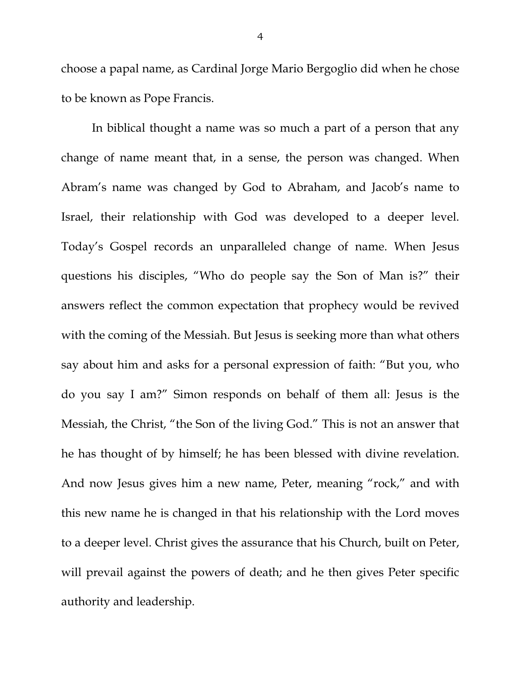choose a papal name, as Cardinal Jorge Mario Bergoglio did when he chose to be known as Pope Francis.

In biblical thought a name was so much a part of a person that any change of name meant that, in a sense, the person was changed. When Abram's name was changed by God to Abraham, and Jacob's name to Israel, their relationship with God was developed to a deeper level. Today's Gospel records an unparalleled change of name. When Jesus questions his disciples, "Who do people say the Son of Man is?" their answers reflect the common expectation that prophecy would be revived with the coming of the Messiah. But Jesus is seeking more than what others say about him and asks for a personal expression of faith: "But you, who do you say I am?" Simon responds on behalf of them all: Jesus is the Messiah, the Christ, "the Son of the living God." This is not an answer that he has thought of by himself; he has been blessed with divine revelation. And now Jesus gives him a new name, Peter, meaning "rock," and with this new name he is changed in that his relationship with the Lord moves to a deeper level. Christ gives the assurance that his Church, built on Peter, will prevail against the powers of death; and he then gives Peter specific authority and leadership.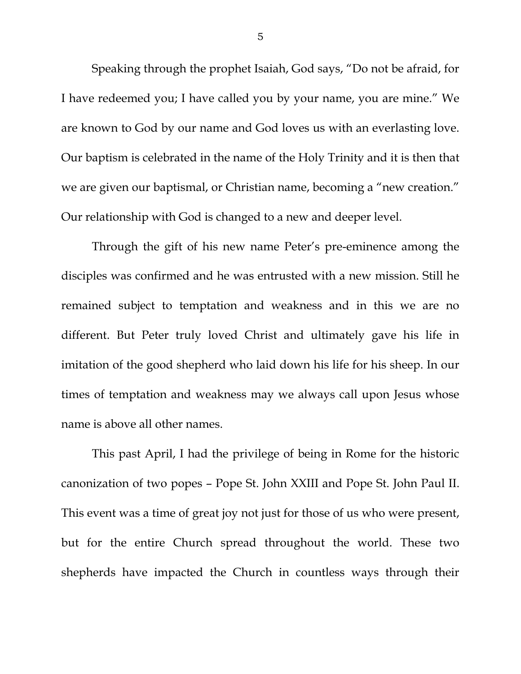Speaking through the prophet Isaiah, God says, "Do not be afraid, for I have redeemed you; I have called you by your name, you are mine." We are known to God by our name and God loves us with an everlasting love. Our baptism is celebrated in the name of the Holy Trinity and it is then that we are given our baptismal, or Christian name, becoming a "new creation." Our relationship with God is changed to a new and deeper level.

Through the gift of his new name Peter's pre-eminence among the disciples was confirmed and he was entrusted with a new mission. Still he remained subject to temptation and weakness and in this we are no different. But Peter truly loved Christ and ultimately gave his life in imitation of the good shepherd who laid down his life for his sheep. In our times of temptation and weakness may we always call upon Jesus whose name is above all other names.

This past April, I had the privilege of being in Rome for the historic canonization of two popes – Pope St. John XXIII and Pope St. John Paul II. This event was a time of great joy not just for those of us who were present, but for the entire Church spread throughout the world. These two shepherds have impacted the Church in countless ways through their

5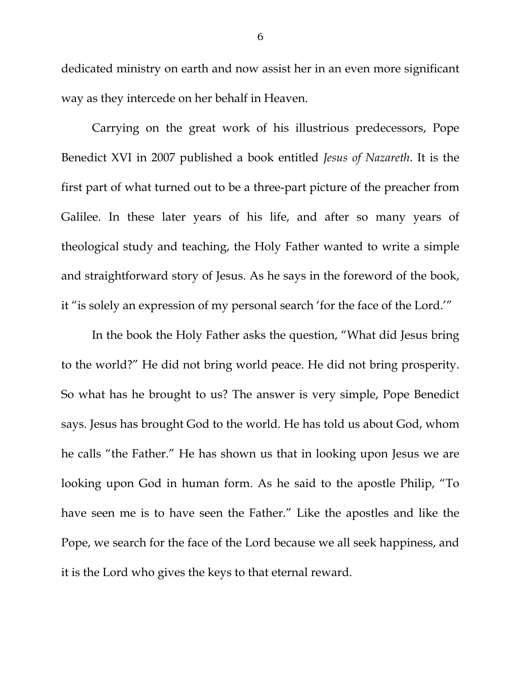dedicated ministry on earth and now assist her in an even more significant way as they intercede on her behalf in Heaven.

Carrying on the great work of his illustrious predecessors, Pope Benedict XVI in 2007 published a book entitled *Jesus of Nazareth*. It is the first part of what turned out to be a three-part picture of the preacher from Galilee. In these later years of his life, and after so many years of theological study and teaching, the Holy Father wanted to write a simple and straightforward story of Jesus. As he says in the foreword of the book, it "is solely an expression of my personal search 'for the face of the Lord.'"

In the book the Holy Father asks the question, "What did Jesus bring to the world?" He did not bring world peace. He did not bring prosperity. So what has he brought to us? The answer is very simple, Pope Benedict says. Jesus has brought God to the world. He has told us about God, whom he calls "the Father." He has shown us that in looking upon Jesus we are looking upon God in human form. As he said to the apostle Philip, "To have seen me is to have seen the Father." Like the apostles and like the Pope, we search for the face of the Lord because we all seek happiness, and it is the Lord who gives the keys to that eternal reward.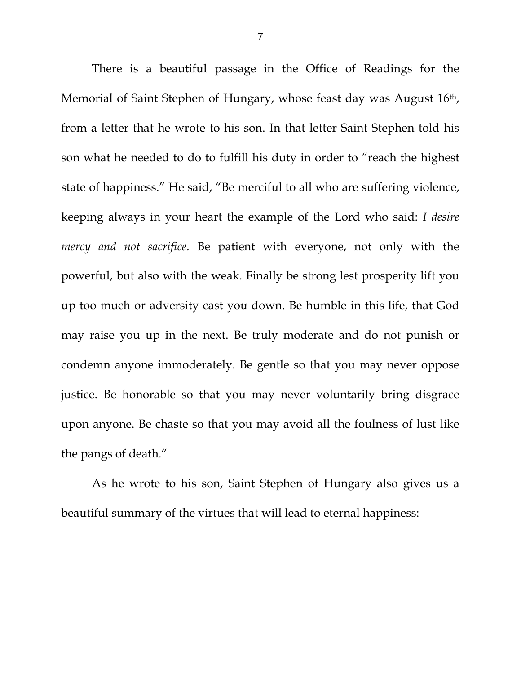There is a beautiful passage in the Office of Readings for the Memorial of Saint Stephen of Hungary, whose feast day was August 16th, from a letter that he wrote to his son. In that letter Saint Stephen told his son what he needed to do to fulfill his duty in order to "reach the highest state of happiness." He said, "Be merciful to all who are suffering violence, keeping always in your heart the example of the Lord who said: *I desire mercy and not sacrifice.* Be patient with everyone, not only with the powerful, but also with the weak. Finally be strong lest prosperity lift you up too much or adversity cast you down. Be humble in this life, that God may raise you up in the next. Be truly moderate and do not punish or condemn anyone immoderately. Be gentle so that you may never oppose justice. Be honorable so that you may never voluntarily bring disgrace upon anyone. Be chaste so that you may avoid all the foulness of lust like the pangs of death."

As he wrote to his son, Saint Stephen of Hungary also gives us a beautiful summary of the virtues that will lead to eternal happiness: